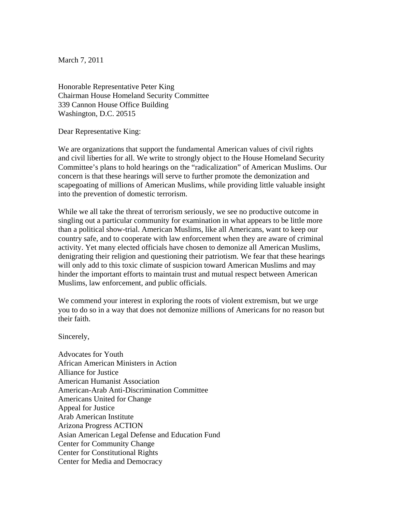March 7, 2011

Honorable Representative Peter King Chairman House Homeland Security Committee 339 Cannon House Office Building Washington, D.C. 20515

Dear Representative King:

We are organizations that support the fundamental American values of civil rights and civil liberties for all. We write to strongly object to the House Homeland Security Committee's plans to hold hearings on the "radicalization" of American Muslims. Our concern is that these hearings will serve to further promote the demonization and scapegoating of millions of American Muslims, while providing little valuable insight into the prevention of domestic terrorism.

While we all take the threat of terrorism seriously, we see no productive outcome in singling out a particular community for examination in what appears to be little more than a political show-trial. American Muslims, like all Americans, want to keep our country safe, and to cooperate with law enforcement when they are aware of criminal activity. Yet many elected officials have chosen to demonize all American Muslims, denigrating their religion and questioning their patriotism. We fear that these hearings will only add to this toxic climate of suspicion toward American Muslims and may hinder the important efforts to maintain trust and mutual respect between American Muslims, law enforcement, and public officials.

We commend your interest in exploring the roots of violent extremism, but we urge you to do so in a way that does not demonize millions of Americans for no reason but their faith.

Sincerely,

Advocates for Youth African American Ministers in Action Alliance for Justice American Humanist Association American-Arab Anti-Discrimination Committee Americans United for Change Appeal for Justice Arab American Institute Arizona Progress ACTION Asian American Legal Defense and Education Fund Center for Community Change Center for Constitutional Rights Center for Media and Democracy